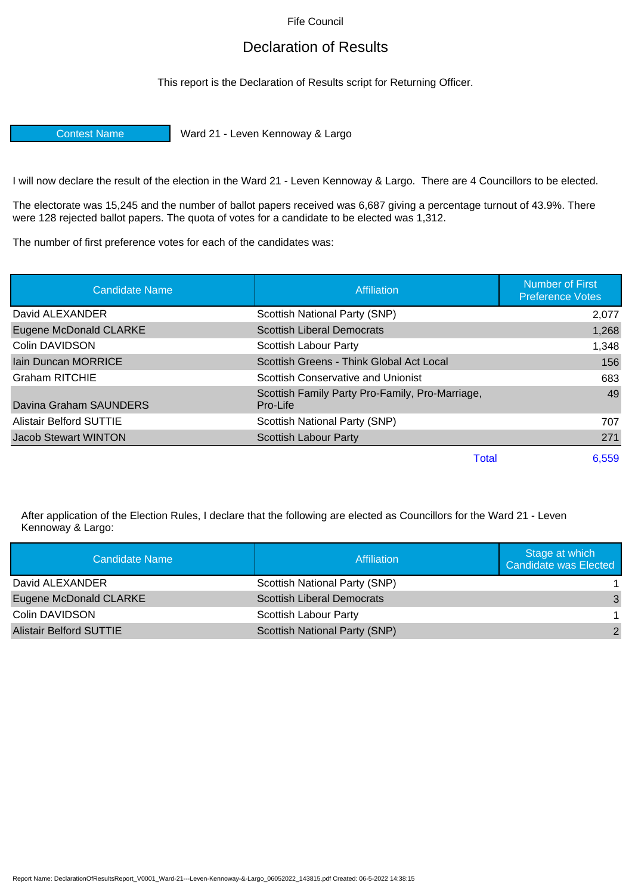Fife Council

## Declaration of Results

This report is the Declaration of Results script for Returning Officer.

Contest Name Ward 21 - Leven Kennoway & Largo

I will now declare the result of the election in the Ward 21 - Leven Kennoway & Largo. There are 4 Councillors to be elected.

The electorate was 15,245 and the number of ballot papers received was 6,687 giving a percentage turnout of 43.9%. There were 128 rejected ballot papers. The quota of votes for a candidate to be elected was 1,312.

The number of first preference votes for each of the candidates was:

| <b>Candidate Name</b>          | Affiliation                                                 | <b>Number of First</b><br><b>Preference Votes</b> |
|--------------------------------|-------------------------------------------------------------|---------------------------------------------------|
| David ALEXANDER                | Scottish National Party (SNP)                               | 2,077                                             |
| Eugene McDonald CLARKE         | <b>Scottish Liberal Democrats</b>                           | 1,268                                             |
| Colin DAVIDSON                 | Scottish Labour Party                                       | 1,348                                             |
| <b>Iain Duncan MORRICE</b>     | Scottish Greens - Think Global Act Local                    | 156                                               |
| <b>Graham RITCHIE</b>          | Scottish Conservative and Unionist                          | 683                                               |
| Davina Graham SAUNDERS         | Scottish Family Party Pro-Family, Pro-Marriage,<br>Pro-Life | 49                                                |
| <b>Alistair Belford SUTTIE</b> | Scottish National Party (SNP)                               | 707                                               |
| <b>Jacob Stewart WINTON</b>    | <b>Scottish Labour Party</b>                                | 271                                               |
|                                | <b>Total</b>                                                | 6,559                                             |

After application of the Election Rules, I declare that the following are elected as Councillors for the Ward 21 - Leven Kennoway & Largo:

| Candidate Name                 | Affiliation                       | Stage at which<br>Candidate was Elected |
|--------------------------------|-----------------------------------|-----------------------------------------|
| David ALEXANDER                | Scottish National Party (SNP)     |                                         |
| Eugene McDonald CLARKE         | <b>Scottish Liberal Democrats</b> | 3                                       |
| Colin DAVIDSON                 | Scottish Labour Party             |                                         |
| <b>Alistair Belford SUTTIE</b> | Scottish National Party (SNP)     | 2                                       |